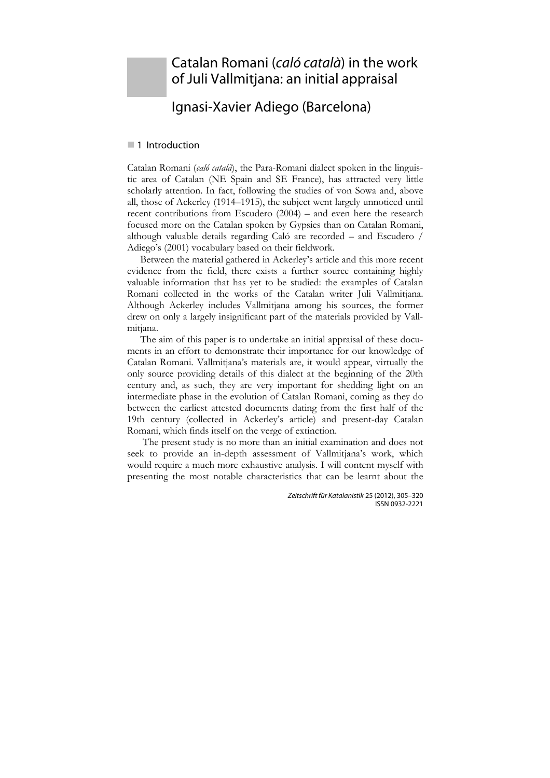# Catalan Romani (*caló català*) in the work of Juli Vallmitjana: an initial appraisal

# Ignasi-Xavier Adiego (Barcelona)

### ■ 1 Introduction

Catalan Romani (*caló català*), the Para-Romani dialect spoken in the linguistic area of Catalan (NE Spain and SE France), has attracted very little scholarly attention. In fact, following the studies of von Sowa and, above all, those of Ackerley (1914–1915), the subject went largely unnoticed until recent contributions from Escudero (2004) – and even here the research focused more on the Catalan spoken by Gypsies than on Catalan Romani, although valuable details regarding Caló are recorded – and Escudero / Adiego's (2001) vocabulary based on their fieldwork.

Between the material gathered in Ackerley's article and this more recent evidence from the field, there exists a further source containing highly valuable information that has yet to be studied: the examples of Catalan Romani collected in the works of the Catalan writer Juli Vallmitjana. Although Ackerley includes Vallmitjana among his sources, the former drew on only a largely insignificant part of the materials provided by Vallmitjana.

The aim of this paper is to undertake an initial appraisal of these documents in an effort to demonstrate their importance for our knowledge of Catalan Romani. Vallmitjana's materials are, it would appear, virtually the only source providing details of this dialect at the beginning of the 20th century and, as such, they are very important for shedding light on an intermediate phase in the evolution of Catalan Romani, coming as they do between the earliest attested documents dating from the first half of the 19th century (collected in Ackerley's article) and present-day Catalan Romani, which finds itself on the verge of extinction.

 The present study is no more than an initial examination and does not seek to provide an in-depth assessment of Vallmitjana's work, which would require a much more exhaustive analysis. I will content myself with presenting the most notable characteristics that can be learnt about the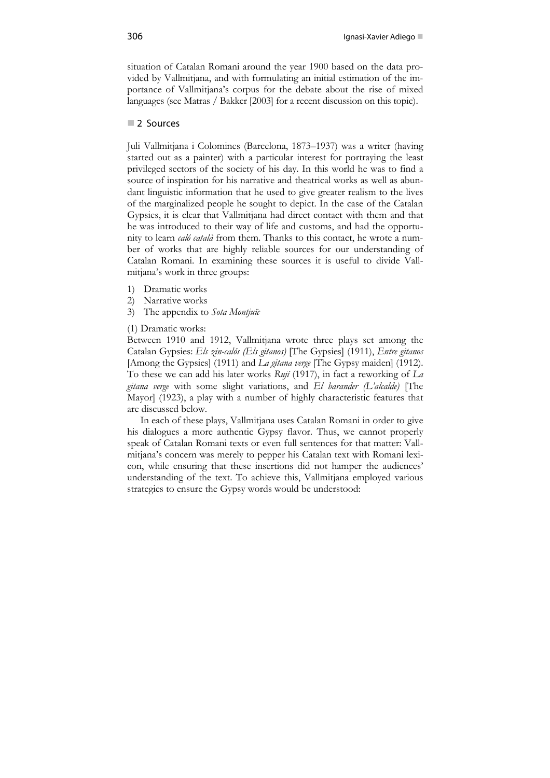situation of Catalan Romani around the year 1900 based on the data provided by Vallmitjana, and with formulating an initial estimation of the importance of Vallmitjana's corpus for the debate about the rise of mixed languages (see Matras / Bakker [2003] for a recent discussion on this topic).

## 2 Sources

Juli Vallmitjana i Colomines (Barcelona, 1873–1937) was a writer (having started out as a painter) with a particular interest for portraying the least privileged sectors of the society of his day. In this world he was to find a source of inspiration for his narrative and theatrical works as well as abundant linguistic information that he used to give greater realism to the lives of the marginalized people he sought to depict. In the case of the Catalan Gypsies, it is clear that Vallmitjana had direct contact with them and that he was introduced to their way of life and customs, and had the opportunity to learn *caló català* from them. Thanks to this contact, he wrote a number of works that are highly reliable sources for our understanding of Catalan Romani. In examining these sources it is useful to divide Vallmitjana's work in three groups:

- 1) Dramatic works
- 2) Narrative works
- 3) The appendix to *Sota Montjuïc*
- (1) Dramatic works:

Between 1910 and 1912, Vallmitjana wrote three plays set among the Catalan Gypsies: *Els zin-calós (Els gitanos)* [The Gypsies] (1911), *Entre gitanos* [Among the Gypsies] (1911) and *La gitana verge* [The Gypsy maiden] (1912). To these we can add his later works *Rují* (1917), in fact a reworking of *La gitana verge* with some slight variations, and *El barander (L'alcalde)* [The Mayor] (1923), a play with a number of highly characteristic features that are discussed below.

In each of these plays, Vallmitjana uses Catalan Romani in order to give his dialogues a more authentic Gypsy flavor. Thus, we cannot properly speak of Catalan Romani texts or even full sentences for that matter: Vallmitjana's concern was merely to pepper his Catalan text with Romani lexicon, while ensuring that these insertions did not hamper the audiences' understanding of the text. To achieve this, Vallmitjana employed various strategies to ensure the Gypsy words would be understood: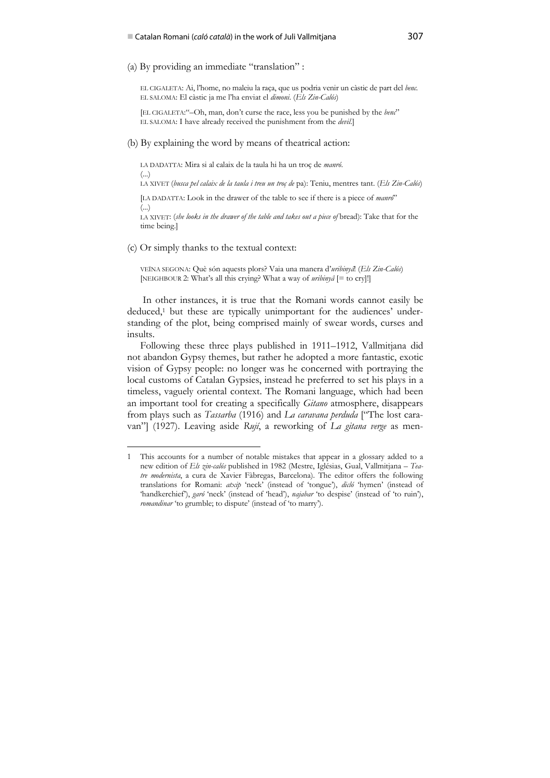(a) By providing an immediate "translation" :

EL CIGALETA: Ai, l'home, no maleiu la raça, que us podria venir un càstic de part del *benc*. EL SALOMA: El càstic ja me l'ha enviat el *dimoni*. (*Els Zin-Calós*)

[EL CIGALETA:"–Oh, man, don't curse the race, less you be punished by the *benc*" EL SALOMA: I have already received the punishment from the *devil*.]

(b) By explaining the word by means of theatrical action:

LA DADATTA: Mira si al calaix de la taula hi ha un troç de *manró*. (...) LA XIVET (*busca pel calaix de la taula i treu un troç de* pa): Teniu, mentres tant. (*Els Zin-Calós*) [LA DADATTA: Look in the drawer of the table to see if there is a piece of *manró*"

(...)

LA XIVET: (*she looks in the drawer of the table and takes out a piece of* bread): Take that for the time being.]

(c) Or simply thanks to the textual context:

 $\ddot{\phantom{a}}$ 

VEÏNA SEGONA: Què són aquests plors? Vaia una manera d'*uribinyâ*! (*Els Zin-Calós*) [NEIGHBOUR 2: What's all this crying? What a way of *uribinyâ* [= to cry]!]

 In other instances, it is true that the Romani words cannot easily be deduced,<sup>1</sup> but these are typically unimportant for the audiences' understanding of the plot, being comprised mainly of swear words, curses and insults.

Following these three plays published in 1911–1912, Vallmitjana did not abandon Gypsy themes, but rather he adopted a more fantastic, exotic vision of Gypsy people: no longer was he concerned with portraying the local customs of Catalan Gypsies, instead he preferred to set his plays in a timeless, vaguely oriental context. The Romani language, which had been an important tool for creating a specifically *Gitano* atmosphere, disappears from plays such as *Tassarba* (1916) and *La caravana perduda* ["The lost caravan"] (1927). Leaving aside *Rují*, a reworking of *La gitana verge* as men-

<sup>1</sup> This accounts for a number of notable mistakes that appear in a glossary added to a new edition of *Els zin-calós* published in 1982 (Mestre, Iglésias, Gual, Vallmitjana – *Teatre modernista*, a cura de Xavier Fàbregas, Barcelona). The editor offers the following translations for Romani: *atxip* 'neck' (instead of 'tongue'), *dicló* 'hymen' (instead of 'handkerchief'), *garó* 'neck' (instead of 'head'), *najabar* 'to despise' (instead of 'to ruin'), *romandinar* 'to grumble; to dispute' (instead of 'to marry').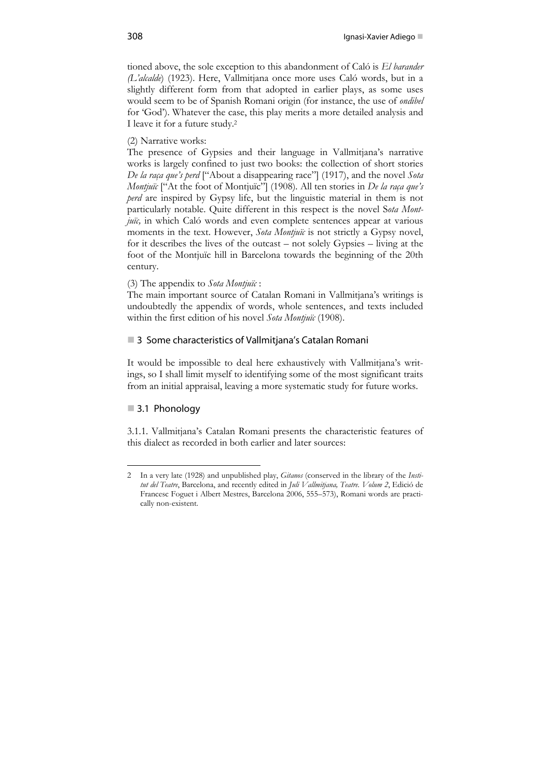tioned above, the sole exception to this abandonment of Caló is *El barander (L'alcalde*) (1923). Here, Vallmitjana once more uses Caló words, but in a slightly different form from that adopted in earlier plays, as some uses would seem to be of Spanish Romani origin (for instance, the use of *ondibel* for 'God'). Whatever the case, this play merits a more detailed analysis and I leave it for a future study.2

(2) Narrative works:

The presence of Gypsies and their language in Vallmitjana's narrative works is largely confined to just two books: the collection of short stories *De la raça que's perd* ["About a disappearing race"] (1917), and the novel *Sota Montjuïc* ["At the foot of Montjuïc"] (1908)*.* All ten stories in *De la raça que's perd* are inspired by Gypsy life, but the linguistic material in them is not particularly notable. Quite different in this respect is the novel S*ota Montjuïc,* in which Caló words and even complete sentences appear at various moments in the text. However, *Sota Montjuïc* is not strictly a Gypsy novel, for it describes the lives of the outcast – not solely Gypsies – living at the foot of the Montjuïc hill in Barcelona towards the beginning of the 20th century.

#### (3) The appendix to *Sota Montjuïc* :

The main important source of Catalan Romani in Vallmitjana's writings is undoubtedly the appendix of words, whole sentences, and texts included within the first edition of his novel *Sota Montjuïc* (1908).

## ■ 3 Some characteristics of Vallmitiana's Catalan Romani

It would be impossible to deal here exhaustively with Vallmitjana's writings, so I shall limit myself to identifying some of the most significant traits from an initial appraisal, leaving a more systematic study for future works.

## 3.1 Phonology

 $\ddot{\phantom{a}}$ 

3.1.1. Vallmitjana's Catalan Romani presents the characteristic features of this dialect as recorded in both earlier and later sources:

<sup>2</sup> In a very late (1928) and unpublished play, *Gitanos* (conserved in the library of the *Institut del Teatre*, Barcelona, and recently edited in *Juli Vallmitjana, Teatre. Volum 2*, Edició de Francesc Foguet i Albert Mestres, Barcelona 2006, 555–573), Romani words are practically non-existent.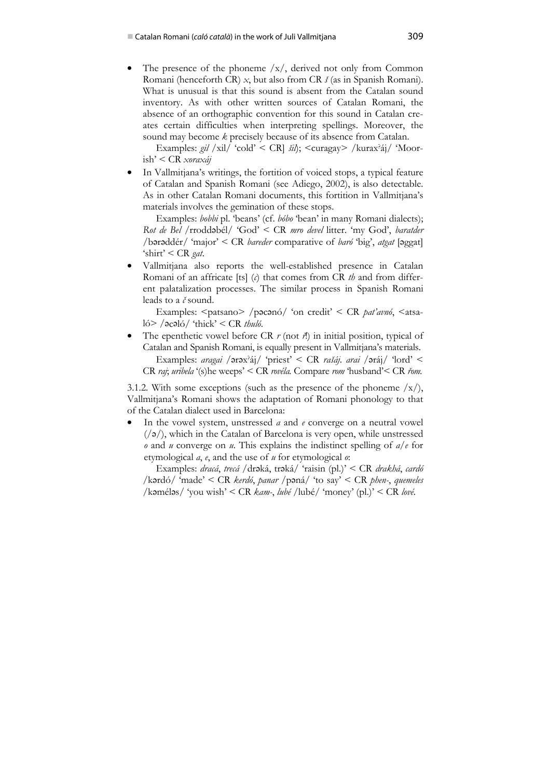The presence of the phoneme  $/x/$ , derived not only from Common Romani (henceforth CR) *x*, but also from CR *š* (as in Spanish Romani). What is unusual is that this sound is absent from the Catalan sound inventory. As with other written sources of Catalan Romani, the absence of an orthographic convention for this sound in Catalan creates certain difficulties when interpreting spellings. Moreover, the sound may become *k* precisely because of its absence from Catalan.

Examples: *gil* /xil/ 'cold' < CR] *šil*); <curagay> /kurax? áj/ 'Moorish' < CR *xoraxáj*

• In Vallmitjana's writings, the fortition of voiced stops, a typical feature of Catalan and Spanish Romani (see Adiego, 2002), is also detectable. As in other Catalan Romani documents, this fortition in Vallmitjana's materials involves the gemination of these stops.

Examples: *bobbi* pl. 'beans' (cf. *bóbo* 'bean' in many Romani dialects); *Rot de Bel* /rroddbél/ 'God' < CR *mro devel* litter. 'my God', *baratder /*brddér/ 'major' < CR *bareder* comparative of *baró* 'big', *atgat* [ggat] 'shirt' < CR *gat*.

• Vallmitjana also reports the well-established presence in Catalan Romani of an affricate [ts] (*c*) that comes from CR *th* and from different palatalization processes. The similar process in Spanish Romani leads to a *č* sound.

Examples: <patsano> /poconó/ 'on credit' < CR *pat'avnó*, <atsaló> /əcəló/ 'thick' < CR *thuló*.

The epenthetic vowel before CR  $r$  (not  $\vec{r}$ ) in initial position, typical of Catalan and Spanish Romani, is equally present in Vallmitjana's materials. Examples: *aragai /* ərəx<sup>3</sup>áj/ 'priest' < CR *rašáj. arai /* əráj/ 'lord' < CR *raj*; *uribela* '(s)he weeps' < CR *rovéla.* Compare *rom* 'husband'< CR *řom.*

3.1.2. With some exceptions (such as the presence of the phoneme  $/x/$ ), Vallmitjana's Romani shows the adaptation of Romani phonology to that of the Catalan dialect used in Barcelona:

• In the vowel system, unstressed *a* and *e* converge on a neutral vowel  $(\sqrt{2})$ , which in the Catalan of Barcelona is very open, while unstressed *o* and *u* converge on *u*. This explains the indistinct spelling of *a/e* for etymological *a*, *e*, and the use of *u* for etymological *o*:

Examples: *dracá*, *trecá* /drəká, trəká/ 'raisin (pl.)' < CR *drakhá*, *cardó* /krdó/ 'made' < CR *kerdó*, *panar* /pná/ 'to say' < CR *phen-*, *quemeles* /kméls/ 'you wish' < CR *kam-*, *lubé* /lubé/ 'money' (pl.)' < CR *lové.*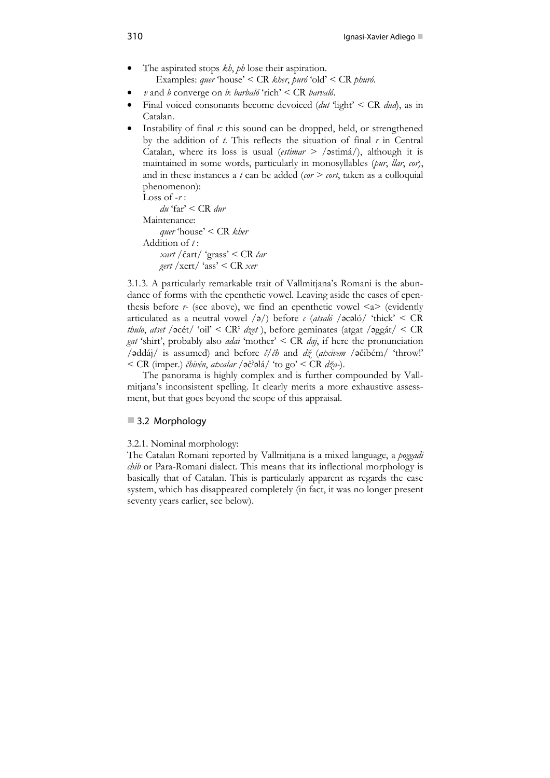- The aspirated stops *kh*, *ph* lose their aspiration. Examples: *quer* 'house' < CR *kher*, *puró* 'old' < CR *phuró*.
- *v* and *b* converge on *b*: *barbaló* 'rich' < CR *barvaló*.
- Final voiced consonants become devoiced (*dut* 'light' < CR *dud*), as in Catalan.
- Instability of final *r*: this sound can be dropped, held, or strengthened by the addition of *t*. This reflects the situation of final *r* in Central Catalan, where its loss is usual (*estimar > /*stimá*/*), although it is maintained in some words, particularly in monosyllables (*pur*, *llar*, *cor*), and in these instances a *t* can be added (*cor > cort*, taken as a colloquial phenomenon):

Loss of -*r* :

*du* 'far' < CR *dur*

Maintenance:

*quer* 'house' < CR *kher* Addition of *t* : *xart* /čart/ 'grass' < CR *čar gert* /xert/ 'ass' < CR *xer*

3.1.3. A particularly remarkable trait of Vallmitjana's Romani is the abundance of forms with the epenthetic vowel. Leaving aside the cases of epenthesis before  $r$ - (see above), we find an epenthetic vowel  $\langle a \rangle$  (evidently articulated as a neutral vowel  $\langle \rho \rangle$  before *c* (*atsaló*  $\langle \text{ecaló} / \text{`thick'} \rangle$  < CR *thulo*, *atset* / $\text{océt}$ / 'oil' < CR<sup>?</sup> *dzet* ), before geminates (atgat / $\text{aggát}$ / < CR *gat* 'shirt', probably also *adai* 'mother' < CR *daj*, if here the pronunciation /ddáj/ is assumed) and before *č/čh* and *dž* (*atxivem* /čibém/ 'throw!' < CR (imper.) *čhivén*, *atxalar* /č? lá/ 'to go' < CR *dža-*).

 The panorama is highly complex and is further compounded by Vallmitjana's inconsistent spelling. It clearly merits a more exhaustive assessment, but that goes beyond the scope of this appraisal.

## ■ 3.2 Morphology

3.2.1. Nominal morphology:

The Catalan Romani reported by Vallmitjana is a mixed language, a *poggadi chib* or Para-Romani dialect. This means that its inflectional morphology is basically that of Catalan. This is particularly apparent as regards the case system, which has disappeared completely (in fact, it was no longer present seventy years earlier, see below).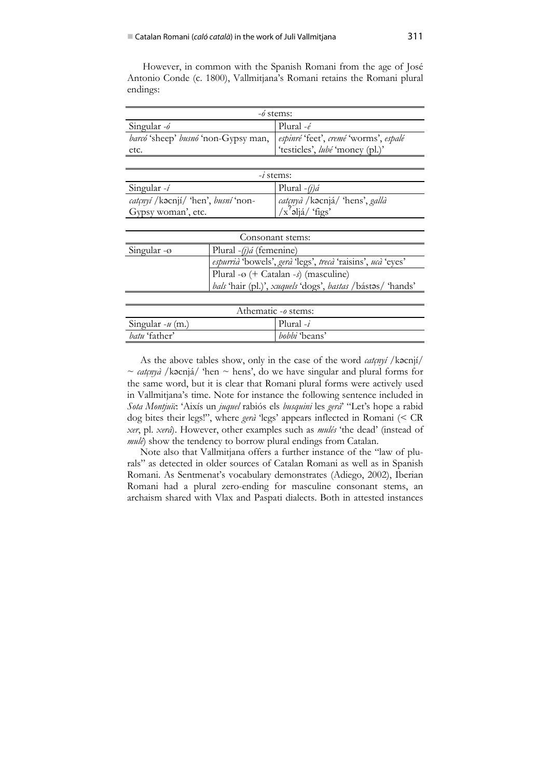However, in common with the Spanish Romani from the age of José Antonio Conde (c. 1800), Vallmitjana's Romani retains the Romani plural endings:

| $-\delta$ stems:                                                            |                                 |  |
|-----------------------------------------------------------------------------|---------------------------------|--|
| Singular -ó                                                                 | Plural $-\acute{e}$             |  |
| barcó 'sheep' busnó 'non-Gypsy man,   espinré 'feet', cremé 'worms', espalé |                                 |  |
| etc.                                                                        | 'testicles', lubé 'money (pl.)' |  |

| $-i$ stems:                                   |                                 |  |
|-----------------------------------------------|---------------------------------|--|
| Singular $-i$                                 | Plural $-(i)\hat{a}$            |  |
| $cat(\omega i / k\alpha c)$ hen', busni 'non- | catçnyà / kacnjá/ 'hens', gallà |  |
| Gypsy woman', etc.                            | $/x^2$ əljá/'figs'              |  |

| Consonant stems:         |                                                                    |
|--------------------------|--------------------------------------------------------------------|
| Singular - $\varnothing$ | Plural $-(i)\hat{a}$ (femenine)                                    |
|                          | <i>espurrià</i> 'bowels', gerà 'legs', trecà 'raisins', ucà 'eyes' |
|                          | Plural - $\varphi$ (+ Catalan -s) (masculine)                      |
|                          | bals 'hair (pl.)', xuquels 'dogs', bastas /bástos/ 'hands'         |

| Athematic $-0$ stems: |                      |
|-----------------------|----------------------|
| Singular $-u$ (m.)    | Plural $-i$          |
| batu 'father'         | <i>bobbi</i> 'beans' |

As the above tables show, only in the case of the word *catçnyi* /kacnji/  $\sim$  *catçnyà* /kəcnjá/ 'hen  $\sim$  hens', do we have singular and plural forms for the same word, but it is clear that Romani plural forms were actively used in Vallmitjana's time. Note for instance the following sentence included in *Sota Montjuïc*: 'Aixís un *juquel* rabiós els *busquini* les *gerà*' "Let's hope a rabid dog bites their legs!", where *gerà* 'legs' appears inflected in Romani (< CR *xer*, pl. *xerá*). However, other examples such as *mulés* 'the dead' (instead of *mulé*) show the tendency to borrow plural endings from Catalan.

Note also that Vallmitjana offers a further instance of the "law of plurals" as detected in older sources of Catalan Romani as well as in Spanish Romani. As Sentmenat's vocabulary demonstrates (Adiego, 2002), Iberian Romani had a plural zero-ending for masculine consonant stems, an archaism shared with Vlax and Paspati dialects. Both in attested instances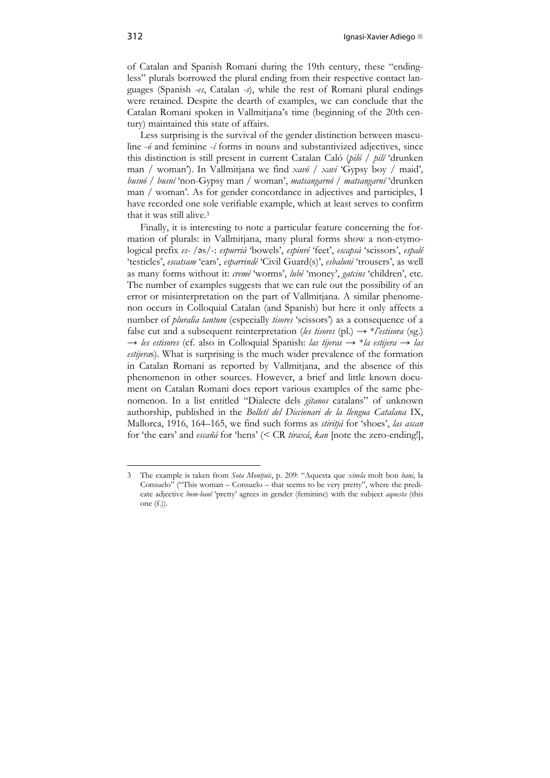of Catalan and Spanish Romani during the 19th century, these "endingless" plurals borrowed the plural ending from their respective contact languages (Spanish *-es*, Catalan *-s*), while the rest of Romani plural endings were retained. Despite the dearth of examples, we can conclude that the Catalan Romani spoken in Vallmitjana's time (beginning of the 20th century) maintained this state of affairs.

Less surprising is the survival of the gender distinction between masculine -*ó* and feminine -*í* forms in nouns and substantivized adjectives, since this distinction is still present in current Catalan Caló (*piló / pilí* 'drunken man / woman'). In Vallmitjana we find *xavó / xaví* 'Gypsy boy / maid'*, busnó / busní* 'non-Gypsy man / woman', *matsangarnó / matsangarní* 'drunken man / woman'*.* As for gender concordance in adjectives and participles, I have recorded one sole verifiable example, which at least serves to confirm that it was still alive.3

Finally, it is interesting to note a particular feature concerning the formation of plurals: in Vallmitjana, many plural forms show a non-etymological prefix *es-* /s/-: *espurrià* 'bowels', *espinré* 'feet', *escapsà* 'scissors', *espalé* 'testicles', *escatsam* 'ears', *esparrindé* 'Civil Guard(s)', *esbaluni* 'trousers', as well as many forms without it: *cremé* 'worms', *lubé* 'money', *gatcins* 'children', etc. The number of examples suggests that we can rule out the possibility of an error or misinterpretation on the part of Vallmitjana. A similar phenomenon occurs in Colloquial Catalan (and Spanish) but here it only affects a number of *pluralia tantum* (especially *tisores* 'scissors') as a consequence of a false cut and a subsequent reinterpretation (*les tisores* (pl.)  $\rightarrow$  \**l'estisora* (sg.) → *les estisores* (cf. also in Colloquial Spanish: *las tijeras →* \**la estijera → las estijera*s). What is surprising is the much wider prevalence of the formation in Catalan Romani as reported by Vallmitjana, and the absence of this phenomenon in other sources. However, a brief and little known document on Catalan Romani does report various examples of the same phenomenon. In a list entitled "Dialecte dels *gitanos* catalans" of unknown authorship, published in the *Bolletí del Diccionari de la llengua Catalana* IX, Mallorca, 1916, 164–165, we find such forms as *stiritjá* for 'shoes', *las ascan* for 'the ears' and *escañá* for 'hens' (< CR *tiraxá*, *kan* [note the zero-ending!],

 $\ddot{\phantom{a}}$ 

<sup>3</sup> The example is taken from *Sota Montjuïc*, p. 209: "Aquesta que *xinela* molt bon *bani*, la Consuelo" ("This woman – Consuelo – that seems to be very pretty", where the predicate adjective *bom-baní* 'pretty' agrees in gender (feminine) with the subject *aquesta* (this one (f.)).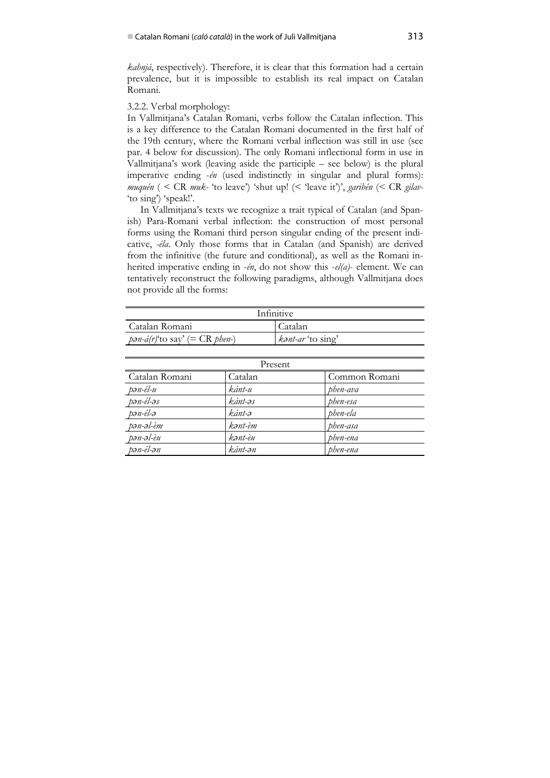*kahnjá*, respectively). Therefore, it is clear that this formation had a certain prevalence, but it is impossible to establish its real impact on Catalan Romani.

#### 3.2.2. Verbal morphology:

In Vallmitjana's Catalan Romani, verbs follow the Catalan inflection. This is a key difference to the Catalan Romani documented in the first half of the 19th century, where the Romani verbal inflection was still in use (see par. 4 below for discussion). The only Romani inflectional form in use in Vallmitjana's work (leaving aside the participle – see below) is the plural imperative ending -*én* (used indistinctly in singular and plural forms): *muquén* ( < CR *muk-* 'to leave') 'shut up! (< 'leave it')', *garibén* (< CR *gilav-* 'to sing') 'speak!'.

In Vallmitjana's texts we recognize a trait typical of Catalan (and Spanish) Para-Romani verbal inflection: the construction of most personal forms using the Romani third person singular ending of the present indicative, *-éla*. Only those forms that in Catalan (and Spanish) are derived from the infinitive (the future and conditional), as well as the Romani inherited imperative ending in -*én*, do not show this -*el(a)*- element. We can tentatively reconstruct the following paradigms, although Vallmitjana does not provide all the forms:

| Infinitive                               |                   |  |
|------------------------------------------|-------------------|--|
| Catalan Romani                           | Catalan           |  |
| $pan-a(r)'$ to say' (= CR <i>phen</i> -) | kant-ar 'to sing' |  |

| Present        |         |               |  |
|----------------|---------|---------------|--|
| Catalan Romani | Catalan | Common Romani |  |
| pən-él-u       | kánt-u  | phen-ava      |  |
| pən-él-əs      | kánt-əs | phen-esa      |  |
| pən-él-ə       | kánt-ə  | phen-ela      |  |
| pən-əl-èm      | kənt-èm | phen-asa      |  |
| pən-əl-èu      | kənt-èu | phen-ena      |  |
| pən-él-ən      | kánt-ən | phen-ena      |  |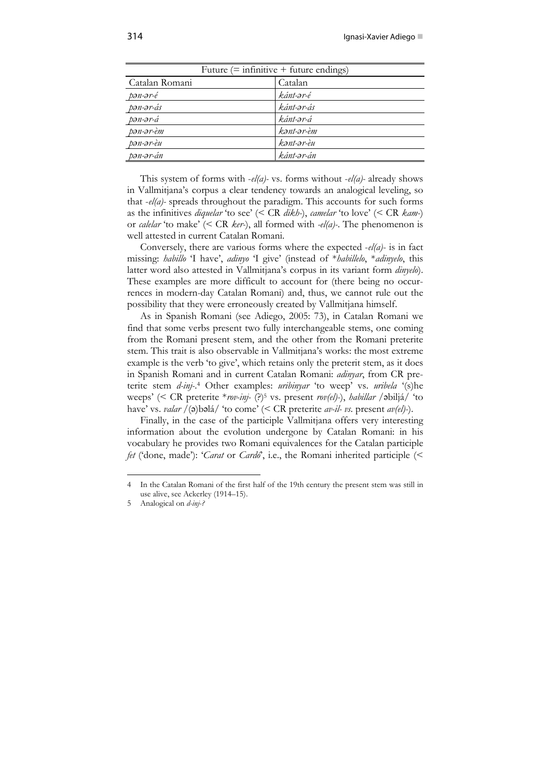| Future $(=$ infinitive $+$ future endings) |            |  |
|--------------------------------------------|------------|--|
| Catalan Romani                             | Catalan    |  |
| pən-ər-é                                   | kánt-ər-é  |  |
| pən-ər-ás                                  | kánt-ər-ás |  |
| pən-ər-á                                   | kánt-ər-á  |  |
| pən-ər-èm                                  | kənt-ər-èm |  |
| pən-ər-èu                                  | kənt-ər-èu |  |
| pən-ər-án                                  | kánt-ər-án |  |

This system of forms with -*el(a)-* vs. forms without -*el(a)-* already shows in Vallmitjana's corpus a clear tendency towards an analogical leveling, so that -*el(a)-* spreads throughout the paradigm. This accounts for such forms as the infinitives *diquelar* 'to see' (< CR *dikh-*), *camelar* 'to love' (< CR *kam-*) or *calelar* 'to make' (< CR *ker-*), all formed with *-el(a)-*. The phenomenon is well attested in current Catalan Romani.

Conversely, there are various forms where the expected -*el(a)*- is in fact missing: *habillo* 'I have', *adinyo* 'I give' (instead of \**habillelo*, \**adinyelo*, this latter word also attested in Vallmitjana's corpus in its variant form *dinyelo*). These examples are more difficult to account for (there being no occurrences in modern-day Catalan Romani) and, thus, we cannot rule out the possibility that they were erroneously created by Vallmitjana himself.

As in Spanish Romani (see Adiego, 2005: 73), in Catalan Romani we find that some verbs present two fully interchangeable stems, one coming from the Romani present stem, and the other from the Romani preterite stem. This trait is also observable in Vallmitjana's works: the most extreme example is the verb 'to give', which retains only the preterit stem, as it does in Spanish Romani and in current Catalan Romani: *adinyar*, from CR preterite stem *d-inj-*. 4 Other examples: *uribinyar* 'to weep' vs. *uribela* '(s)he weeps' (< CR preterite \**rov-inj-* (?)5 vs. present *rov(el)-*), *habillar* /biljá/ 'to have' vs. *valar*  $\overline{}/$ (a)bəlá/ 'to come' (< CR preterite *av-il- vs.* present *av(el)*-).

Finally, in the case of the participle Vallmitjana offers very interesting information about the evolution undergone by Catalan Romani: in his vocabulary he provides two Romani equivalences for the Catalan participle *fet* ('done, made'): '*Carat* or *Cardó*', i.e., the Romani inherited participle (<

 $\ddot{\phantom{a}}$ 

<sup>4</sup> In the Catalan Romani of the first half of the 19th century the present stem was still in use alive, see Ackerley (1914–15).

<sup>5</sup> Analogical on *d-inj-?*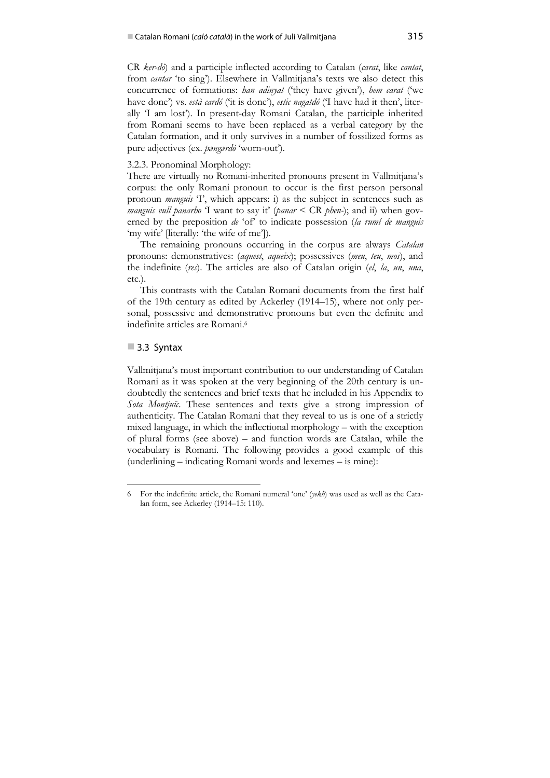CR *ker-dó*) and a participle inflected according to Catalan (*carat*, like *cantat*, from *cantar* 'to sing'). Elsewhere in Vallmitjana's texts we also detect this concurrence of formations: *han adinyat* ('they have given'), *hem carat* ('we have done') vs. *està cardó* ('it is done'), *estic nagatdó* ('I have had it then', literally 'I am lost'). In present-day Romani Catalan, the participle inherited from Romani seems to have been replaced as a verbal category by the Catalan formation, and it only survives in a number of fossilized forms as pure adjectives (ex. *pngrdó* 'worn-out').

#### 3.2.3. Pronominal Morphology:

There are virtually no Romani-inherited pronouns present in Vallmitjana's corpus: the only Romani pronoun to occur is the first person personal pronoun *manguis* 'I', which appears: i) as the subject in sentences such as *manguis vull panarho* 'I want to say it' (*panar* < CR *phen-*); and ii) when governed by the preposition *de* 'of' to indicate possession (*la rumí de manguis* 'my wife' [literally: 'the wife of me']).

The remaining pronouns occurring in the corpus are always *Catalan* pronouns: demonstratives: (*aquest*, *aqueix*); possessives (*meu*, *teu*, *mos*), and the indefinite (*res*). The articles are also of Catalan origin (*el*, *la*, *un*, *una*, etc.).

This contrasts with the Catalan Romani documents from the first half of the 19th century as edited by Ackerley (1914–15), where not only personal, possessive and demonstrative pronouns but even the definite and indefinite articles are Romani<sup>6</sup>

## 3.3 Syntax

1

Vallmitjana's most important contribution to our understanding of Catalan Romani as it was spoken at the very beginning of the 20th century is undoubtedly the sentences and brief texts that he included in his Appendix to *Sota Montjuïc*. These sentences and texts give a strong impression of authenticity. The Catalan Romani that they reveal to us is one of a strictly mixed language, in which the inflectional morphology – with the exception of plural forms (see above) – and function words are Catalan, while the vocabulary is Romani. The following provides a good example of this (underlining – indicating Romani words and lexemes – is mine):

<sup>6</sup> For the indefinite article, the Romani numeral 'one' (*yekh*) was used as well as the Catalan form, see Ackerley (1914–15: 110).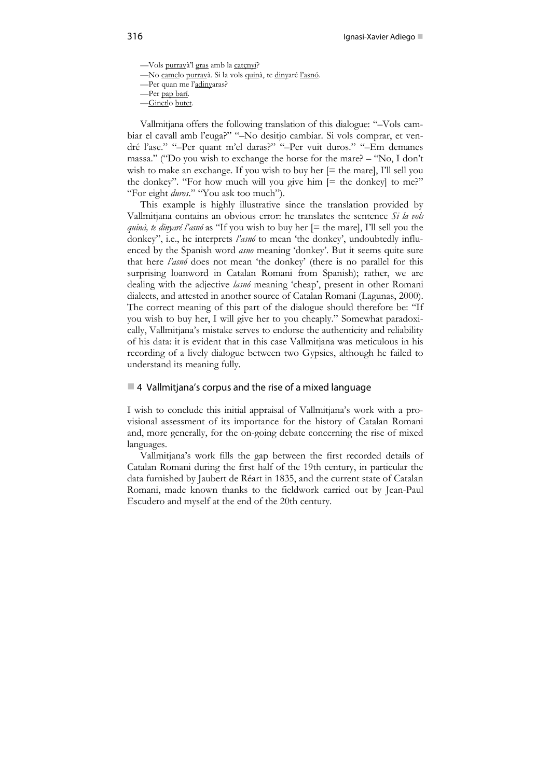—Vols purravà'l gras amb la catçnyí? —No camelo purravà. Si la vols quinà, te dinyaré l'asnó. —Per quan me l'adinyaras? —Per pap barí. —Ginetlo butet.

Vallmitjana offers the following translation of this dialogue: "–Vols cambiar el cavall amb l'euga?" "–No desitjo cambiar. Si vols comprar, et vendré l'ase." "–Per quant m'el daras?" "–Per vuit duros." "–Em demanes massa." ("Do you wish to exchange the horse for the mare? – "No, I don't wish to make an exchange. If you wish to buy her  $[=$  the mare], I'll sell you the donkey". "For how much will you give him  $[=$  the donkey] to me?" "For eight *duros*." "You ask too much").

This example is highly illustrative since the translation provided by Vallmitjana contains an obvious error: he translates the sentence *Si la vols quinà, te dinyaré l'asnó* as "If you wish to buy her [= the mare], I'll sell you the donkey", i.e., he interprets *l'asnó* to mean 'the donkey', undoubtedly influenced by the Spanish word *asno* meaning 'donkey'. But it seems quite sure that here *l'asnó* does not mean 'the donkey' (there is no parallel for this surprising loanword in Catalan Romani from Spanish); rather, we are dealing with the adjective *lasnó* meaning 'cheap', present in other Romani dialects, and attested in another source of Catalan Romani (Lagunas, 2000). The correct meaning of this part of the dialogue should therefore be: "If you wish to buy her, I will give her to you cheaply." Somewhat paradoxically, Vallmitjana's mistake serves to endorse the authenticity and reliability of his data: it is evident that in this case Vallmitjana was meticulous in his recording of a lively dialogue between two Gypsies, although he failed to understand its meaning fully.

#### $\blacksquare$  4 Vallmitjana's corpus and the rise of a mixed language

I wish to conclude this initial appraisal of Vallmitjana's work with a provisional assessment of its importance for the history of Catalan Romani and, more generally, for the on-going debate concerning the rise of mixed languages.

Vallmitjana's work fills the gap between the first recorded details of Catalan Romani during the first half of the 19th century, in particular the data furnished by Jaubert de Réart in 1835, and the current state of Catalan Romani, made known thanks to the fieldwork carried out by Jean-Paul Escudero and myself at the end of the 20th century.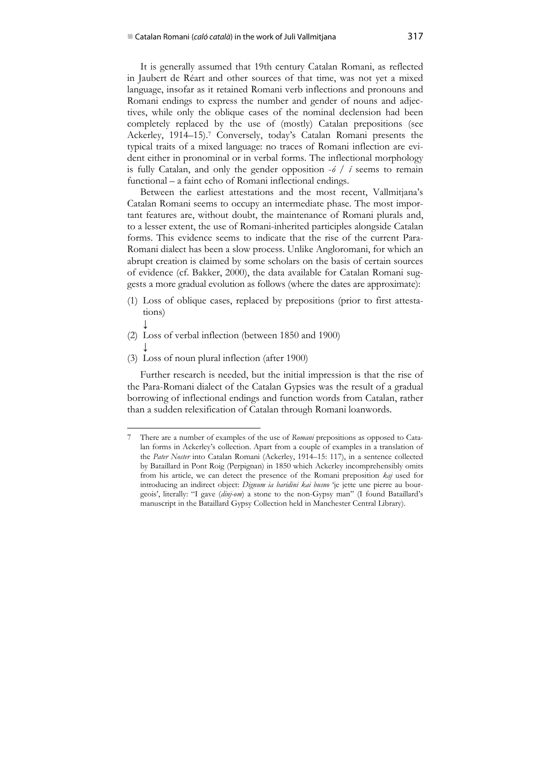It is generally assumed that 19th century Catalan Romani, as reflected in Jaubert de Réart and other sources of that time, was not yet a mixed language, insofar as it retained Romani verb inflections and pronouns and Romani endings to express the number and gender of nouns and adjectives, while only the oblique cases of the nominal declension had been completely replaced by the use of (mostly) Catalan prepositions (see Ackerley, 1914–15).7 Conversely, today's Catalan Romani presents the typical traits of a mixed language: no traces of Romani inflection are evident either in pronominal or in verbal forms. The inflectional morphology is fully Catalan, and only the gender opposition -*ó / í* seems to remain functional – a faint echo of Romani inflectional endings.

Between the earliest attestations and the most recent, Vallmitjana's Catalan Romani seems to occupy an intermediate phase. The most important features are, without doubt, the maintenance of Romani plurals and, to a lesser extent, the use of Romani-inherited participles alongside Catalan forms. This evidence seems to indicate that the rise of the current Para-Romani dialect has been a slow process. Unlike Angloromani, for which an abrupt creation is claimed by some scholars on the basis of certain sources of evidence (cf. Bakker, 2000), the data available for Catalan Romani suggests a more gradual evolution as follows (where the dates are approximate):

- (1) Loss of oblique cases, replaced by prepositions (prior to first attestations)
- ↓ (2) Loss of verbal inflection (between 1850 and 1900)
- ↓ (3) Loss of noun plural inflection (after 1900)

 $\ddot{\phantom{a}}$ 

Further research is needed, but the initial impression is that the rise of the Para-Romani dialect of the Catalan Gypsies was the result of a gradual borrowing of inflectional endings and function words from Catalan, rather than a sudden relexification of Catalan through Romani loanwords.

<sup>7</sup> There are a number of examples of the use of *Romani* prepositions as opposed to Catalan forms in Ackerley's collection. Apart from a couple of examples in a translation of the *Pater Noster* into Catalan Romani (Ackerley, 1914–15: 117), in a sentence collected by Bataillard in Pont Roig (Perpignan) in 1850 which Ackerley incomprehensibly omits from his article, we can detect the presence of the Romani preposition *kaj* used for introducing an indirect object: *Dignum ia baridini kai busno* 'je jette une pierre au bourgeois', literally: "I gave (*dinj-om*) a stone to the non-Gypsy man" (I found Bataillard's manuscript in the Bataillard Gypsy Collection held in Manchester Central Library).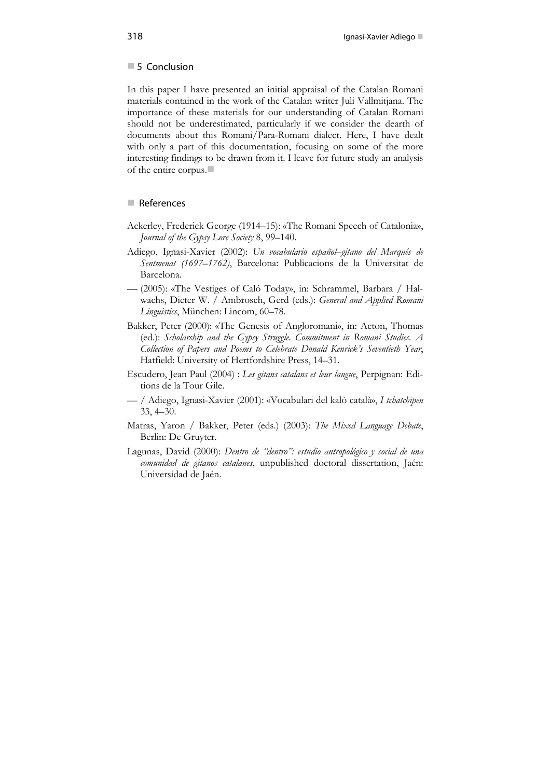#### 5 Conclusion

In this paper I have presented an initial appraisal of the Catalan Romani materials contained in the work of the Catalan writer Juli Vallmitjana. The importance of these materials for our understanding of Catalan Romani should not be underestimated, particularly if we consider the dearth of documents about this Romani/Para-Romani dialect. Here, I have dealt with only a part of this documentation, focusing on some of the more interesting findings to be drawn from it. I leave for future study an analysis of the entire corpus.

## References

- Ackerley, Frederick George (1914–15): «The Romani Speech of Catalonia», *Journal of the Gypsy Lore Society* 8, 99–140.
- Adiego, Ignasi-Xavier (2002): *Un vocabulario español–gitano del Marqués de Sentmenat (1697–1762)*, Barcelona: Publicacions de la Universitat de Barcelona.
- (2005): «The Vestiges of Caló Today», in: Schrammel, Barbara / Halwachs, Dieter W. / Ambrosch, Gerd (eds.): *General and Applied Romani Linguistics*, München: Lincom, 60–78.
- Bakker, Peter (2000): «The Genesis of Angloromani», in: Acton, Thomas (ed.): *Scholarship and the Gypsy Struggle. Commitment in Romani Studies. A Collection of Papers and Poems to Celebrate Donald Kenrick's Seventieth Year*, Hatfield: University of Hertfordshire Press, 14–31.
- Escudero, Jean Paul (2004) : *Les gitans catalans et leur langue*, Perpignan: Editions de la Tour Gile.
- / Adiego, Ignasi-Xavier (2001): «Vocabulari del kalò català», *I tchatchipen* 33, 4–30.
- Matras, Yaron / Bakker, Peter (eds.) (2003): *The Mixed Language Debate*, Berlin: De Gruyter.
- Lagunas, David (2000): *Dentro de "dentro": estudio antropológico y social de una comunidad de gitanos catalanes*, unpublished doctoral dissertation, Jaén: Universidad de Jaén.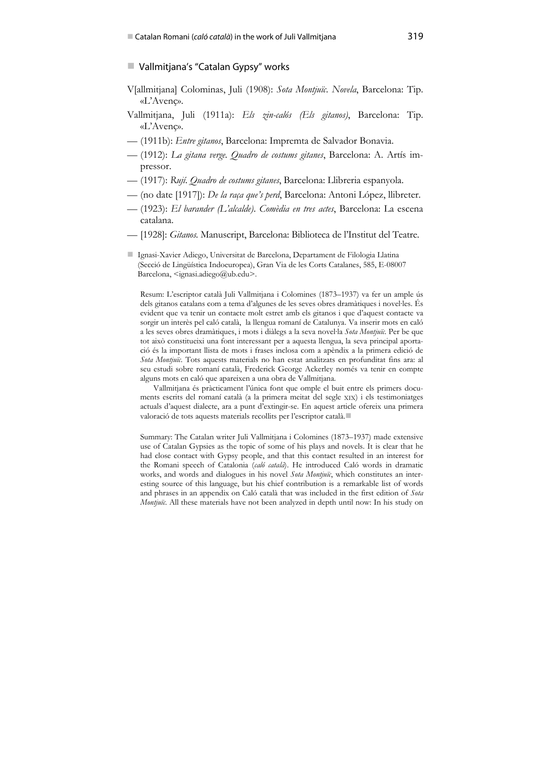#### ■ Vallmitjana's "Catalan Gypsy" works

- V[allmitjana] Colominas, Juli (1908): *Sota Montjuïc*. *Novela*, Barcelona: Tip. «L'Avenç».
- Vallmitjana, Juli (1911a): *Els zin-calós (Els gitanos)*, Barcelona: Tip. «L'Avenç».
- (1911b): *Entre gitanos*, Barcelona: Impremta de Salvador Bonavia.
- (1912): *La gitana verge. Quadro de costums gitanes*, Barcelona: A. Artís impressor.
- (1917): *Rují*. *Quadro de costums gitanes*, Barcelona: Llibreria espanyola.
- (no date [1917]): *De la raça que's perd*, Barcelona: Antoni López, llibreter.
- (1923): *El barander (L'alcalde)*. *Comèdia en tres actes*, Barcelona: La escena catalana.
- [1928]: *Gitanos.* Manuscript, Barcelona: Biblioteca de l'Institut del Teatre.
- Ignasi-Xavier Adiego, Universitat de Barcelona, Departament de Filologia Llatina (Secció de Lingüística Indoeuropea), Gran Via de les Corts Catalanes, 585, E-08007 Barcelona, <ignasi.adiego@ub.edu>.

Resum: L'escriptor català Juli Vallmitjana i Colomines (1873–1937) va fer un ample ús dels gitanos catalans com a tema d'algunes de les seves obres dramàtiques i novel∙les. És evident que va tenir un contacte molt estret amb els gitanos i que d'aquest contacte va sorgir un interès pel caló català, la llengua romaní de Catalunya. Va inserir mots en caló a les seves obres dramàtiques, i mots i diàlegs a la seva novel∙la *Sota Montjuïc*. Per be que tot això constitueixi una font interessant per a aquesta llengua, la seva principal aportació és la important llista de mots i frases inclosa com a apèndix a la primera edició de *Sota Montjuïc*. Tots aquests materials no han estat analitzats en profunditat fins ara: al seu estudi sobre romaní català, Frederick George Ackerley només va tenir en compte alguns mots en caló que apareixen a una obra de Vallmitjana.

Vallmitjana és pràcticament l'única font que omple el buit entre els primers documents escrits del romaní català (a la primera meitat del segle XIX) i els testimoniatges actuals d'aquest dialecte, ara a punt d'extingir-se. En aquest article ofereix una primera valoració de tots aquests materials recollits per l'escriptor català.

Summary: The Catalan writer Juli Vallmitjana i Colomines (1873–1937) made extensive use of Catalan Gypsies as the topic of some of his plays and novels. It is clear that he had close contact with Gypsy people, and that this contact resulted in an interest for the Romani speech of Catalonia (*caló català*). He introduced Caló words in dramatic works, and words and dialogues in his novel *Sota Montjuïc*, which constitutes an interesting source of this language, but his chief contribution is a remarkable list of words and phrases in an appendix on Caló català that was included in the first edition of *Sota Montjuïc*. All these materials have not been analyzed in depth until now: In his study on